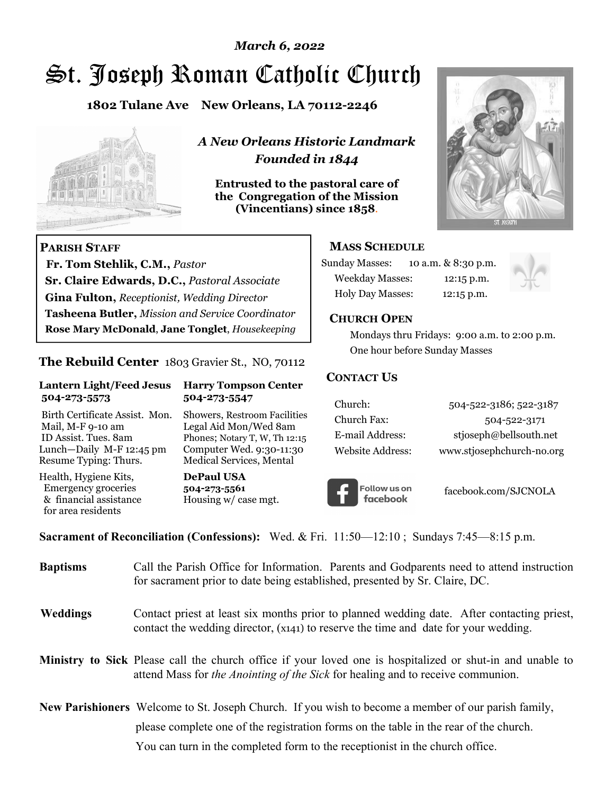# St. Joseph Roman Catholic Church *March 6, 2022*

**1802 Tulane Ave New Orleans, LA 70112-2246**



 **Fr. Tom Stehlik, C.M.,** *Pastor* 

**Sr. Claire Edwards, D.C.,** *Pastoral Associate* **Gina Fulton,** *Receptionist, Wedding Director* 

**Tasheena Butler,** *Mission and Service Coordinator* **Rose Mary McDonald**, **Jane Tonglet**, *Housekeeping*

**The Rebuild Center** 1803 Gravier St., NO, 70112

**Lantern Light/Feed Jesus Harry Tompson Center** 

Birth Certificate Assist. Mon. Showers, Restroom Facilities Mail, M-F 9-10 am Legal Aid Mon/Wed 8am ID Assist. Tues. 8am Phones; Notary T, W, Th 12:15 Lunch—Daily M-F 12:45 pm Computer Wed. 9:30-11:30 Resume Typing: Thurs. Medical Services, Mental

 **504-273-5573 504-273-5547** 

Health, Hygiene Kits, **DePaul USA**  Emergency groceries **504-273-5561**

& financial assistance Housing w/ case mgt.

**PARISH STAFF**

for area residents

*A New Orleans Historic Landmark Founded in 1844* 

**Entrusted to the pastoral care of the Congregation of the Mission (Vincentians) since 1858**.



#### **MASS SCHEDULE**

| <b>Sunday Masses:</b>  | 10 a.m. & 8:30 p.m. |
|------------------------|---------------------|
| <b>Weekday Masses:</b> | $12:15$ p.m.        |
| Holy Day Masses:       | 12:15 p.m.          |



#### **CHURCH OPEN**

 Mondays thru Fridays: 9:00 a.m. to 2:00 p.m. One hour before Sunday Masses

#### **CONTACT US**

| Church:          | 504-522-3186; 522-3187    |
|------------------|---------------------------|
| Church Fax:      | 504-522-3171              |
| E-mail Address:  | stjoseph@bellsouth.net    |
| Website Address: | www.stjosephchurch-no.org |



facebook.com/SJCNOLA

**Sacrament of Reconciliation (Confessions):** Wed. & Fri. 11:50—12:10 ; Sundays 7:45—8:15 p.m.

| <b>Baptisms</b> | Call the Parish Office for Information. Parents and Godparents need to attend instruction<br>for sacrament prior to date being established, presented by Sr. Claire, DC.                                   |
|-----------------|------------------------------------------------------------------------------------------------------------------------------------------------------------------------------------------------------------|
| <b>Weddings</b> | Contact priest at least six months prior to planned wedding date. After contacting priest,<br>contact the wedding director, (x141) to reserve the time and date for your wedding.                          |
|                 | <b>Ministry to Sick</b> Please call the church office if your loved one is hospitalized or shut-in and unable to<br>attend Mass for <i>the Anointing of the Sick</i> for healing and to receive communion. |
|                 | <b>New Parishioners</b> Welcome to St. Joseph Church. If you wish to become a member of our parish family,                                                                                                 |
|                 | please complete one of the registration forms on the table in the rear of the church.                                                                                                                      |
|                 | You can turn in the completed form to the reception is the church office.                                                                                                                                  |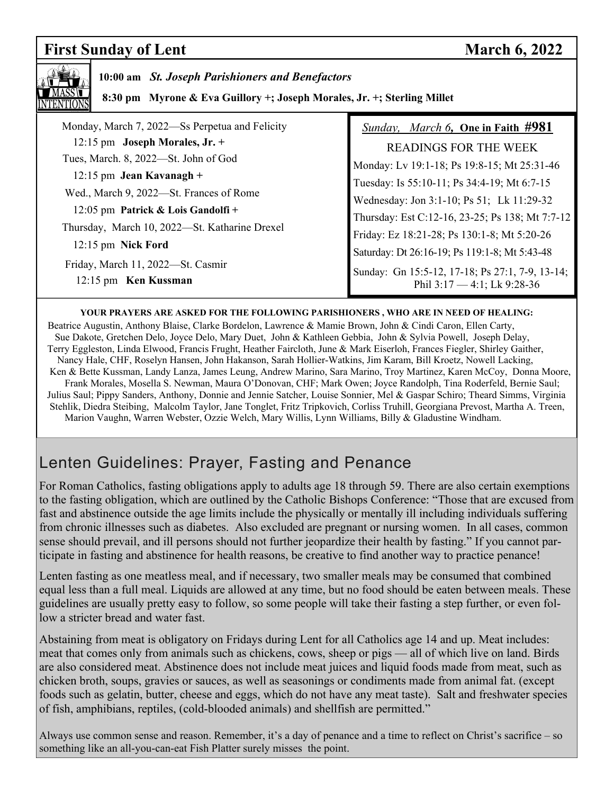# **First Sunday of Lent** March 6, 2022

| 10:00 am St. Joseph Parishioners and Benefactors<br>8:30 pm Myrone & Eva Guillory +; Joseph Morales, Jr. +; Sterling Millet |                                                 |  |
|-----------------------------------------------------------------------------------------------------------------------------|-------------------------------------------------|--|
| Monday, March 7, 2022—Ss Perpetua and Felicity                                                                              | Sunday, March 6, One in Faith #981              |  |
| 12:15 pm Joseph Morales, Jr. +                                                                                              | <b>READINGS FOR THE WEEK</b>                    |  |
| Tues, March. 8, 2022-St. John of God                                                                                        | Monday: Lv 19:1-18; Ps 19:8-15; Mt 25:31-46     |  |
| $12:15$ pm Jean Kavanagh +                                                                                                  | Tuesday: Is 55:10-11; Ps 34:4-19; Mt 6:7-15     |  |
| Wed., March 9, 2022—St. Frances of Rome                                                                                     | Wednesday: Jon 3:1-10; Ps 51; Lk 11:29-32       |  |
| 12:05 pm Patrick & Lois Gandolfi +                                                                                          | Thursday: Est C:12-16, 23-25; Ps 138; Mt 7:7-12 |  |
| Thursday, March 10, 2022—St. Katharine Drexel                                                                               | Friday: Ez 18:21-28; Ps 130:1-8; Mt 5:20-26     |  |
| 12:15 pm Nick Ford                                                                                                          | Saturday: Dt 26:16-19; Ps 119:1-8; Mt 5:43-48   |  |
| Friday, March 11, 2022-St. Casmir                                                                                           | Sunday: Gn 15:5-12, 17-18; Ps 27:1, 7-9, 13-14; |  |
| 12:15 pm Ken Kussman                                                                                                        | Phil $3:17 - 4:1$ ; Lk $9:28-36$                |  |

#### **YOUR PRAYERS ARE ASKED FOR THE FOLLOWING PARISHIONERS , WHO ARE IN NEED OF HEALING:**

 Beatrice Augustin, Anthony Blaise, Clarke Bordelon, Lawrence & Mamie Brown, John & Cindi Caron, Ellen Carty, Sue Dakote, Gretchen Delo, Joyce Delo, Mary Duet, John & Kathleen Gebbia, John & Sylvia Powell, Joseph Delay, Terry Eggleston, Linda Elwood, Francis Frught, Heather Faircloth, June & Mark Eiserloh, Frances Fiegler, Shirley Gaither, Nancy Hale, CHF, Roselyn Hansen, John Hakanson, Sarah Hollier-Watkins, Jim Karam, Bill Kroetz, Nowell Lacking, Ken & Bette Kussman, Landy Lanza, James Leung, Andrew Marino, Sara Marino, Troy Martinez, Karen McCoy, Donna Moore, Frank Morales, Mosella S. Newman, Maura O'Donovan, CHF; Mark Owen; Joyce Randolph, Tina Roderfeld, Bernie Saul; Julius Saul; Pippy Sanders, Anthony, Donnie and Jennie Satcher, Louise Sonnier, Mel & Gaspar Schiro; Theard Simms, Virginia Stehlik, Diedra Steibing, Malcolm Taylor, Jane Tonglet, Fritz Tripkovich, Corliss Truhill, Georgiana Prevost, Martha A. Treen, Marion Vaughn, Warren Webster, Ozzie Welch, Mary Willis, Lynn Williams, Billy & Gladustine Windham.

# Lenten Guidelines: Prayer, Fasting and Penance

For Roman Catholics, fasting obligations apply to adults age 18 through 59. There are also certain exemptions to the fasting obligation, which are outlined by the Catholic Bishops Conference: "Those that are excused from fast and abstinence outside the age limits include the physically or mentally ill including individuals suffering from chronic illnesses such as diabetes. Also excluded are pregnant or nursing women. In all cases, common sense should prevail, and ill persons should not further jeopardize their health by fasting." If you cannot participate in fasting and abstinence for health reasons, be creative to find another way to practice penance!

Lenten fasting as one meatless meal, and if necessary, two smaller meals may be consumed that combined equal less than a full meal. Liquids are allowed at any time, but no food should be eaten between meals. These guidelines are usually pretty easy to follow, so some people will take their fasting a step further, or even follow a stricter bread and water fast.

Abstaining from meat is obligatory on Fridays during Lent for all Catholics age 14 and up. Meat includes: meat that comes only from animals such as chickens, cows, sheep or pigs — all of which live on land. Birds are also considered meat. Abstinence does not include meat juices and liquid foods made from meat, such as chicken broth, soups, gravies or sauces, as well as seasonings or condiments made from animal fat. (except foods such as gelatin, butter, cheese and eggs, which do not have any meat taste). Salt and freshwater species of fish, amphibians, reptiles, (cold-blooded animals) and shellfish are permitted."

Always use common sense and reason. Remember, it's a day of penance and a time to reflect on Christ's sacrifice – so something like an all-you-can-eat Fish Platter surely misses the point.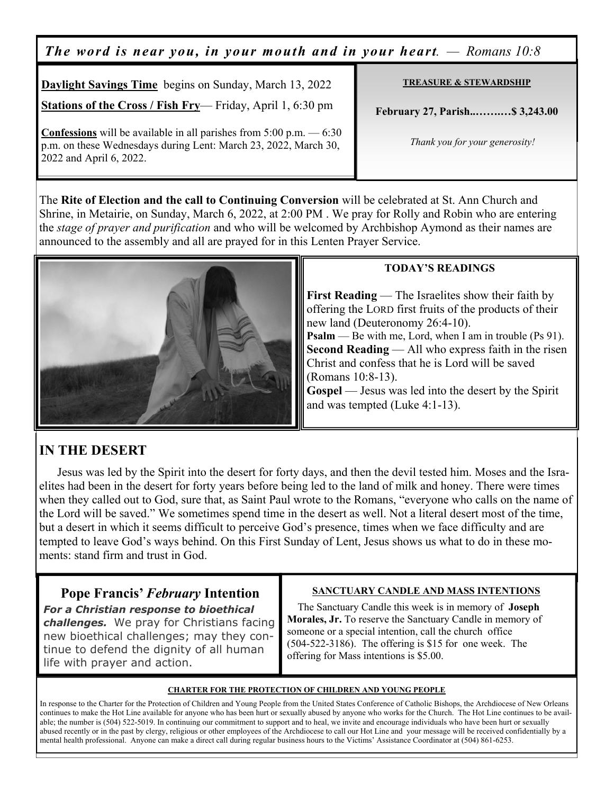*The word is near you, in your mouth and in your heart. — Romans 10:8*

**TREASURE & STEWARDSHIP February 27, Parish..…….…\$ 3,243.00**   *Thank you for your generosity!*  **Daylight Savings Time** begins on Sunday, March 13, 2022 **Stations of the Cross / Fish Fry**— Friday, April 1, 6:30 pm **Confessions** will be available in all parishes from 5:00 p.m. — 6:30 p.m. on these Wednesdays during Lent: March 23, 2022, March 30, 2022 and April 6, 2022.

The **Rite of Election and the call to Continuing Conversion** will be celebrated at St. Ann Church and Shrine, in Metairie, on Sunday, March 6, 2022, at 2:00 PM . We pray for Rolly and Robin who are entering the *stage of prayer and purification* and who will be welcomed by Archbishop Aymond as their names are announced to the assembly and all are prayed for in this Lenten Prayer Service.



#### **TODAY'S READINGS**

**First Reading** — The Israelites show their faith by offering the LORD first fruits of the products of their new land (Deuteronomy 26:4-10). **Psalm** — Be with me, Lord, when I am in trouble (Ps 91). **Second Reading** — All who express faith in the risen Christ and confess that he is Lord will be saved (Romans 10:8-13).

**Gospel** — Jesus was led into the desert by the Spirit and was tempted (Luke 4:1-13).

## **IN THE DESERT**

Jesus was led by the Spirit into the desert for forty days, and then the devil tested him. Moses and the Israelites had been in the desert for forty years before being led to the land of milk and honey. There were times when they called out to God, sure that, as Saint Paul wrote to the Romans, "everyone who calls on the name of the Lord will be saved." We sometimes spend time in the desert as well. Not a literal desert most of the time, but a desert in which it seems difficult to perceive God's presence, times when we face difficulty and are tempted to leave God's ways behind. On this First Sunday of Lent, Jesus shows us what to do in these moments: stand firm and trust in God.

## **Pope Francis'** *February* **Intention**

*For a Christian response to bioethical challenges.* We pray for Christians facing new bioethical challenges; may they continue to defend the dignity of all human life with prayer and action.

#### **SANCTUARY CANDLE AND MASS INTENTIONS**

 The Sanctuary Candle this week is in memory of **Joseph Morales, Jr.** To reserve the Sanctuary Candle in memory of someone or a special intention, call the church office (504-522-3186). The offering is \$15 for one week. The offering for Mass intentions is \$5.00.

#### **CHARTER FOR THE PROTECTION OF CHILDREN AND YOUNG PEOPLE**

In response to the Charter for the Protection of Children and Young People from the United States Conference of Catholic Bishops, the Archdiocese of New Orleans continues to make the Hot Line available for anyone who has been hurt or sexually abused by anyone who works for the Church. The Hot Line continues to be available; the number is (504) 522-5019. In continuing our commitment to support and to heal, we invite and encourage individuals who have been hurt or sexually abused recently or in the past by clergy, religious or other employees of the Archdiocese to call our Hot Line and your message will be received confidentially by a mental health professional. Anyone can make a direct call during regular business hours to the Victims' Assistance Coordinator at (504) 861-6253.